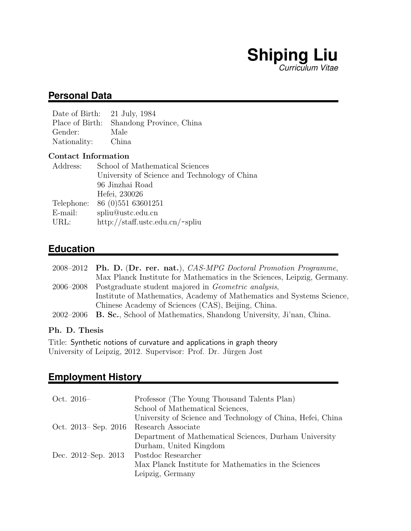# **Shiping Liu** *Curriculum Vitae*

### **Personal Data**

| Date of Birth: 21 July, 1984 |                                          |
|------------------------------|------------------------------------------|
|                              | Place of Birth: Shandong Province, China |
| Gender:                      | Male                                     |
| Nationality:                 | China                                    |
|                              |                                          |

### Contact Information

| Address:   | School of Mathematical Sciences               |
|------------|-----------------------------------------------|
|            | University of Science and Technology of China |
|            | 96 Jinzhai Road                               |
|            | Hefei, 230026                                 |
| Telephone: | 86 (0) 551 63601251                           |
| E-mail:    | spliu@ustc.edu.cn                             |
| URL:       | http://staff.ustc.edu.cn/~spliu               |
|            |                                               |

# **Education**

|           | 2008–2012 Ph. D. (Dr. rer. nat.), CAS-MPG Doctoral Promotion Programme,      |
|-----------|------------------------------------------------------------------------------|
|           | Max Planck Institute for Mathematics in the Sciences, Leipzig, Germany.      |
| 2006–2008 | Postgraduate student majored in <i>Geometric analysis</i> ,                  |
|           | Institute of Mathematics, Academy of Mathematics and Systems Science,        |
|           | Chinese Academy of Sciences (CAS), Beijing, China.                           |
|           | 2002–2006 B. Sc., School of Mathematics, Shandong University, Ji'nan, China. |

### Ph. D. Thesis

Title: Synthetic notions of curvature and applications in graph theory University of Leipzig, 2012. Supervisor: Prof. Dr. Jürgen Jost

# **Employment History**

| Oct. $2016-$         | Professor (The Young Thousand Talents Plan)                 |
|----------------------|-------------------------------------------------------------|
|                      | School of Mathematical Sciences,                            |
|                      | University of Science and Technology of China, Hefei, China |
| Oct. 2013– Sep. 2016 | Research Associate                                          |
|                      | Department of Mathematical Sciences, Durham University      |
|                      | Durham, United Kingdom                                      |
| Dec. 2012–Sep. 2013  | Postdoc Researcher                                          |
|                      | Max Planck Institute for Mathematics in the Sciences        |
|                      | Leipzig, Germany                                            |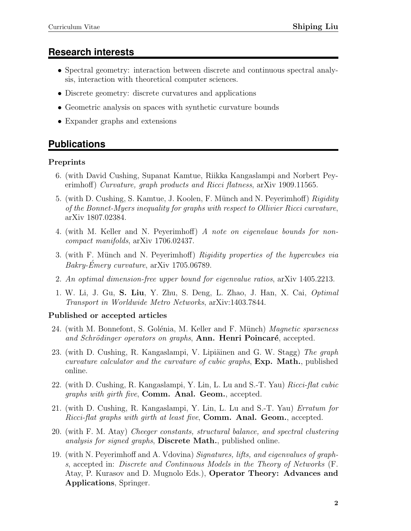## **Research interests**

- Spectral geometry: interaction between discrete and continuous spectral analysis, interaction with theoretical computer sciences.
- Discrete geometry: discrete curvatures and applications
- Geometric analysis on spaces with synthetic curvature bounds
- Expander graphs and extensions

## **Publications**

### Preprints

- 6. (with David Cushing, Supanat Kamtue, Riikka Kangaslampi and Norbert Peyerimhoff) Curvature, graph products and Ricci flatness, arXiv 1909.11565.
- 5. (with D. Cushing, S. Kamtue, J. Koolen, F. Münch and N. Peyerimhoff) Rigidity of the Bonnet-Myers inequality for graphs with respect to Ollivier Ricci curvature, arXiv 1807.02384.
- 4. (with M. Keller and N. Peyerimhoff) A note on eigenvlaue bounds for noncompact manifolds, arXiv 1706.02437.
- 3. (with F. Münch and N. Peyerimhoff) Rigidity properties of the hypercubes via  $Bakry-Émery curvature, arXiv 1705.06789.$
- 2. An optimal dimension-free upper bound for eigenvalue ratios, arXiv 1405.2213.
- 1. W. Li, J. Gu, S. Liu, Y. Zhu, S. Deng, L. Zhao, J. Han, X. Cai, Optimal Transport in Worldwide Metro Networks, arXiv:1403.7844.

### Published or accepted articles

- 24. (with M. Bonnefont, S. Golénia, M. Keller and F. Münch) *Magnetic sparseness* and Schrödinger operators on graphs, Ann. Henri Poincaré, accepted.
- 23. (with D. Cushing, R. Kangaslampi, V. Lipiäinen and G. W. Stagg) The graph curvature calculator and the curvature of cubic graphs, Exp. Math., published online.
- 22. (with D. Cushing, R. Kangaslampi, Y. Lin, L. Lu and S.-T. Yau) Ricci-flat cubic graphs with girth five, Comm. Anal. Geom., accepted.
- 21. (with D. Cushing, R. Kangaslampi, Y. Lin, L. Lu and S.-T. Yau) Erratum for Ricci-flat graphs with girth at least five, Comm. Anal. Geom., accepted.
- 20. (with F. M. Atay) Cheeger constants, structural balance, and spectral clustering analysis for signed graphs, **Discrete Math.**, published online.
- 19. (with N. Peyerimhoff and A. Vdovina) Signatures, lifts, and eigenvalues of graphs, accepted in: Discrete and Continuous Models in the Theory of Networks (F. Atay, P. Kurasov and D. Mugnolo Eds.), Operator Theory: Advances and Applications, Springer.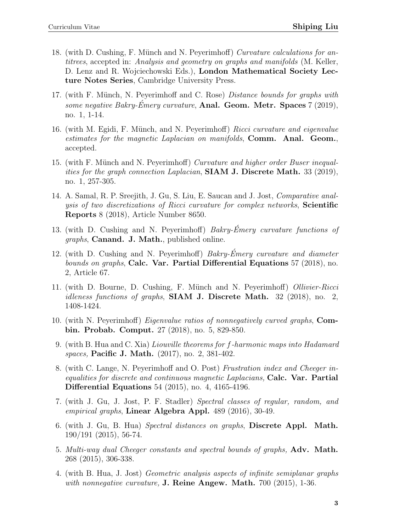- 18. (with D. Cushing, F. Münch and N. Peyerimhoff) Curvature calculations for antitrees, accepted in: Analysis and geometry on graphs and manifolds (M. Keller, D. Lenz and R. Wojciechowski Eds.), London Mathematical Society Lecture Notes Series, Cambridge University Press.
- 17. (with F. Münch, N. Peyerimhoff and C. Rose) *Distance bounds for graphs with* some negative Bakry-Émery curvature, Anal. Geom. Metr. Spaces  $7 (2019)$ , no. 1, 1-14.
- 16. (with M. Egidi, F. Münch, and N. Peyerimhoff) Ricci curvature and eigenvalue estimates for the magnetic Laplacian on manifolds, Comm. Anal. Geom., accepted.
- 15. (with F. Münch and N. Peyerimhoff) Curvature and higher order Buser inequalities for the graph connection Laplacian,  $SIAM J. Discrete Math.$  33 (2019), no. 1, 257-305.
- 14. A. Samal, R. P. Sreejith, J. Gu, S. Liu, E. Saucan and J. Jost, Comparative analysis of two discretizations of Ricci curvature for complex networks, Scientific Reports 8 (2018), Article Number 8650.
- 13. (with D. Cushing and N. Peyerimhoff)  $Bakry-\hat{E}mery$  curvature functions of graphs, Canand. J. Math., published online.
- 12. (with D. Cushing and N. Peyerimhoff) Bakry-Emery curvature and diameter bounds on graphs, Calc. Var. Partial Differential Equations 57 (2018), no. 2, Article 67.
- 11. (with D. Bourne, D. Cushing, F. Münch and N. Peyerimhoff) Ollivier-Ricci idleness functions of graphs, SIAM J. Discrete Math. 32 (2018), no. 2, 1408-1424.
- 10. (with N. Peyerimhoff) Eigenvalue ratios of nonnegatively curved graphs, Combin. Probab. Comput. 27 (2018), no. 5, 829-850.
- 9. (with B. Hua and C. Xia) Liouville theorems for f-harmonic maps into Hadamard spaces, Pacific J. Math. (2017), no. 2, 381-402.
- 8. (with C. Lange, N. Peyerimhoff and O. Post) Frustration index and Cheeger inequalities for discrete and continuous magnetic Laplacians, Calc. Var. Partial Differential Equations 54 (2015), no. 4, 4165-4196.
- 7. (with J. Gu, J. Jost, P. F. Stadler) Spectral classes of regular, random, and empirical graphs, Linear Algebra Appl. 489 (2016), 30-49.
- 6. (with J. Gu, B. Hua) Spectral distances on graphs, Discrete Appl. Math. 190/191 (2015), 56-74.
- 5. Multi-way dual Cheeger constants and spectral bounds of graphs, Adv. Math. 268 (2015), 306-338.
- 4. (with B. Hua, J. Jost) Geometric analysis aspects of infinite semiplanar graphs with nonnegative curvature,  $J.$  Reine Angew. Math. 700 (2015), 1-36.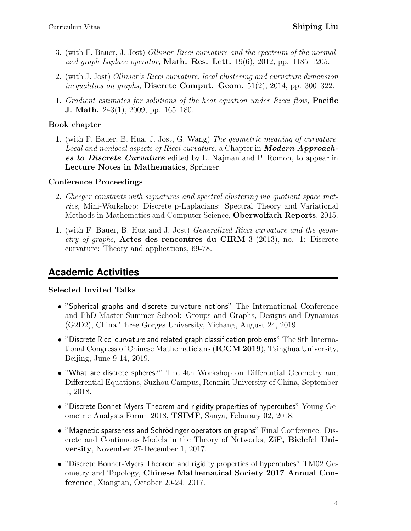- 3. (with F. Bauer, J. Jost) Ollivier-Ricci curvature and the spectrum of the normalized graph Laplace operator, **Math. Res. Lett.** 19(6), 2012, pp. 1185–1205.
- 2. (with J. Jost) Ollivier's Ricci curvature, local clustering and curvature dimension *inequalities on graphs*, Discrete Comput. Geom.  $51(2)$ ,  $2014$ , pp.  $300-322$ .
- 1. Gradient estimates for solutions of the heat equation under Ricci flow, Pacific J. Math. 243(1), 2009, pp. 165–180.

#### Book chapter

1. (with F. Bauer, B. Hua, J. Jost, G. Wang) The geometric meaning of curvature. Local and nonlocal aspects of Ricci curvature, a Chapter in **Modern Approaches to Discrete Curvature** edited by L. Najman and P. Romon, to appear in Lecture Notes in Mathematics, Springer.

#### Conference Proceedings

- 2. Cheeger constants with signatures and spectral clustering via quotient space metrics, Mini-Workshop: Discrete p-Laplacians: Spectral Theory and Variational Methods in Mathematics and Computer Science, Oberwolfach Reports, 2015.
- 1. (with F. Bauer, B. Hua and J. Jost) Generalized Ricci curvature and the geometry of graphs, Actes des rencontres du CIRM 3 (2013), no. 1: Discrete curvature: Theory and applications, 69-78.

### **Academic Activities**

#### Selected Invited Talks

- "Spherical graphs and discrete curvature notions" The International Conference and PhD-Master Summer School: Groups and Graphs, Designs and Dynamics (G2D2), China Three Gorges University, Yichang, August 24, 2019.
- "Discrete Ricci curvature and related graph classification problems" The 8th International Congress of Chinese Mathematicians (ICCM 2019), Tsinghua University, Beijing, June 9-14, 2019.
- "What are discrete spheres?" The 4th Workshop on Differential Geometry and Differential Equations, Suzhou Campus, Renmin University of China, September 1, 2018.
- "Discrete Bonnet-Myers Theorem and rigidity properties of hypercubes" Young Geometric Analysts Forum 2018, TSIMF, Sanya, Feburary 02, 2018.
- "Magnetic sparseness and Schrödinger operators on graphs" Final Conference: Discrete and Continuous Models in the Theory of Networks, ZiF, Bielefel University, November 27-December 1, 2017.
- $\bullet$  "Discrete Bonnet-Myers Theorem and rigidity properties of hypercubes"  $\rm TM02~Ge$ ometry and Topology, Chinese Mathematical Society 2017 Annual Conference, Xiangtan, October 20-24, 2017.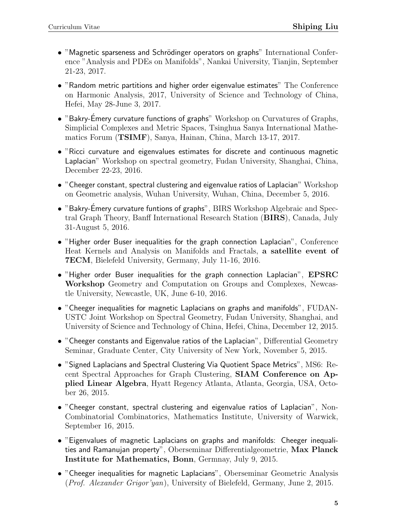- $\bullet$  "Magnetic sparseness and Schrödinger operators on graphs" International Conference "Analysis and PDEs on Manifolds", Nankai University, Tianjin, September 21-23, 2017.
- "Random metric partitions and higher order eigenvalue estimates" The Conference on Harmonic Analysis, 2017, University of Science and Technology of China, Hefei, May 28-June 3, 2017.
- "Bakry-Emery curvature functions of graphs" Workshop on Curvatures of Graphs, Simplicial Complexes and Metric Spaces, Tsinghua Sanya International Mathematics Forum (TSIMF), Sanya, Hainan, China, March 13-17, 2017.
- "Ricci curvature and eigenvalues estimates for discrete and continuous magnetic Laplacian" Workshop on spectral geometry, Fudan University, Shanghai, China, December 22-23, 2016.
- "Cheeger constant, spectral clustering and eigenvalue ratios of Laplacian" Workshop on Geometric analysis, Wuhan University, Wuhan, China, December 5, 2016.
- $\bullet$  "Bakry-Emery curvature funtions of graphs", BIRS Workshop Algebraic and Spectral Graph Theory, Banff International Research Station (BIRS), Canada, July 31-August 5, 2016.
- "Higher order Buser inequalities for the graph connection Laplacian", Conference Heat Kernels and Analysis on Manifolds and Fractals, a satellite event of 7ECM, Bielefeld University, Germany, July 11-16, 2016.
- "Higher order Buser inequalities for the graph connection Laplacian", EPSRC Workshop Geometry and Computation on Groups and Complexes, Newcastle University, Newcastle, UK, June 6-10, 2016.
- "Cheeger inequalities for magnetic Laplacians on graphs and manifolds", FUDAN-USTC Joint Workshop on Spectral Geometry, Fudan University, Shanghai, and University of Science and Technology of China, Hefei, China, December 12, 2015.
- "Cheeger constants and Eigenvalue ratios of the Laplacian", Differential Geometry Seminar, Graduate Center, City University of New York, November 5, 2015.
- "Signed Laplacians and Spectral Clustering Via Quotient Space Metrics", MS6: Recent Spectral Approaches for Graph Clustering, SIAM Conference on Applied Linear Algebra, Hyatt Regency Atlanta, Atlanta, Georgia, USA, October 26, 2015.
- "Cheeger constant, spectral clustering and eigenvalue ratios of Laplacian", Non-Combinatorial Combinatorics, Mathematics Institute, University of Warwick, September 16, 2015.
- "Eigenvalues of magnetic Laplacians on graphs and manifolds: Cheeger inequalities and Ramanujan property", Oberseminar Differentialgeometrie, Max Planck Institute for Mathematics, Bonn, Germnay, July 9, 2015.
- "Cheeger inequalities for magnetic Laplacians", Oberseminar Geometric Analysis (Prof. Alexander Grigor'yan), University of Bielefeld, Germany, June 2, 2015.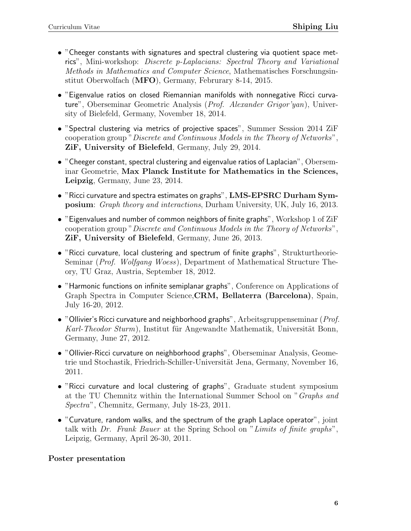- "Cheeger constants with signatures and spectral clustering via quotient space metrics", Mini-workshop: Discrete p-Laplacians: Spectral Theory and Variational Methods in Mathematics and Computer Science, Mathematisches Forschungsinstitut Oberwolfach (MFO), Germany, Februrary 8-14, 2015.
- "Eigenvalue ratios on closed Riemannian manifolds with nonnegative Ricci curvature", Oberseminar Geometric Analysis (Prof. Alexander Grigor'yan), University of Bielefeld, Germany, November 18, 2014.
- "Spectral clustering via metrics of projective spaces", Summer Session 2014 ZiF cooperation group "Discrete and Continuous Models in the Theory of Networks", ZiF, University of Bielefeld, Germany, July 29, 2014.
- "Cheeger constant, spectral clustering and eigenvalue ratios of Laplacian", Oberseminar Geometrie, Max Planck Institute for Mathematics in the Sciences, Leipzig, Germany, June 23, 2014.
- "Ricci curvature and spectra estimates on graphs", LMS-EPSRC Durham Symposium: Graph theory and interactions, Durham University, UK, July 16, 2013.
- "Eigenvalues and number of common neighbors of finite graphs", Workshop 1 of  $\rm{ZiF}$ cooperation group "Discrete and Continuous Models in the Theory of Networks", ZiF, University of Bielefeld, Germany, June 26, 2013.
- "Ricci curvature, local clustering and spectrum of finite graphs", Strukturtheorie-Seminar (Prof. Wolfgang Woess), Department of Mathematical Structure Theory, TU Graz, Austria, September 18, 2012.
- "Harmonic functions on infinite semiplanar graphs", Conference on Applications of Graph Spectra in Computer Science,CRM, Bellaterra (Barcelona), Spain, July 16-20, 2012.
- "Ollivier's Ricci curvature and neighborhood graphs", Arbeitsgruppenseminar (*Prof.*) Karl-Theodor Sturm), Institut für Angewandte Mathematik, Universität Bonn, Germany, June 27, 2012.
- "Ollivier-Ricci curvature on neighborhood graphs", Oberseminar Analysis, Geometrie und Stochastik, Friedrich-Schiller-Universität Jena, Germany, November 16, 2011.
- "Ricci curvature and local clustering of graphs", Graduate student symposium at the TU Chemnitz within the International Summer School on "Graphs and Spectra", Chemnitz, Germany, July 18-23, 2011.
- "Curvature, random walks, and the spectrum of the graph Laplace operator", joint talk with Dr. Frank Bauer at the Spring School on "Limits of finite graphs", Leipzig, Germany, April 26-30, 2011.

### Poster presentation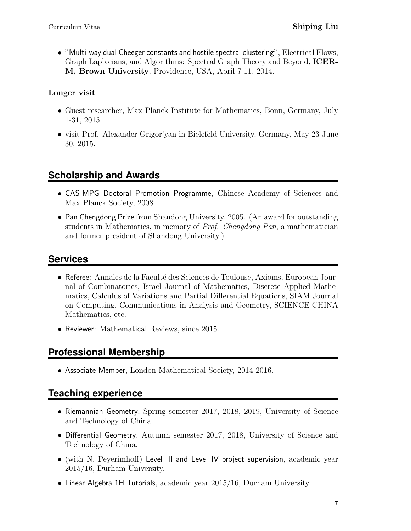• "Multi-way dual Cheeger constants and hostile spectral clustering", Electrical Flows, Graph Laplacians, and Algorithms: Spectral Graph Theory and Beyond, ICER-M, Brown University, Providence, USA, April 7-11, 2014.

Longer visit

- Guest researcher, Max Planck Institute for Mathematics, Bonn, Germany, July 1-31, 2015.
- visit Prof. Alexander Grigor'yan in Bielefeld University, Germany, May 23-June 30, 2015.

# **Scholarship and Awards**

- CAS-MPG Doctoral Promotion Programme, Chinese Academy of Sciences and Max Planck Society, 2008.
- Pan Chengdong Prize from Shandong University, 2005. (An award for outstanding students in Mathematics, in memory of Prof. Chengdong Pan, a mathematician and former president of Shandong University.)

## **Services**

- Referee: Annales de la Faculté des Sciences de Toulouse, Axioms, European Journal of Combinatorics, Israel Journal of Mathematics, Discrete Applied Mathematics, Calculus of Variations and Partial Differential Equations, SIAM Journal on Computing, Communications in Analysis and Geometry, SCIENCE CHINA Mathematics, etc.
- Reviewer: Mathematical Reviews, since 2015.

# **Professional Membership**

• Associate Member, London Mathematical Society, 2014-2016.

## **Teaching experience**

- Riemannian Geometry, Spring semester 2017, 2018, 2019, University of Science and Technology of China.
- Differential Geometry, Autumn semester 2017, 2018, University of Science and Technology of China.
- (with N. Peyerimhoff) Level III and Level IV project supervision, academic year 2015/16, Durham University.
- Linear Algebra 1H Tutorials, academic year 2015/16, Durham University.